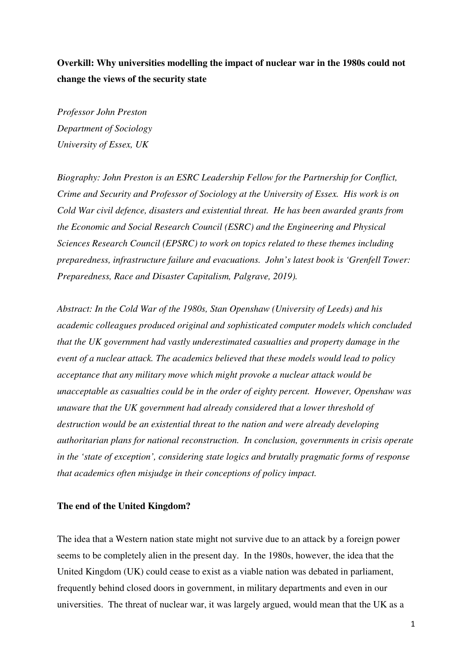# **Overkill: Why universities modelling the impact of nuclear war in the 1980s could not change the views of the security state**

*Professor John Preston Department of Sociology University of Essex, UK* 

*Biography: John Preston is an ESRC Leadership Fellow for the Partnership for Conflict, Crime and Security and Professor of Sociology at the University of Essex. His work is on Cold War civil defence, disasters and existential threat. He has been awarded grants from the Economic and Social Research Council (ESRC) and the Engineering and Physical Sciences Research Council (EPSRC) to work on topics related to these themes including preparedness, infrastructure failure and evacuations. John's latest book is 'Grenfell Tower: Preparedness, Race and Disaster Capitalism, Palgrave, 2019).* 

*Abstract: In the Cold War of the 1980s, Stan Openshaw (University of Leeds) and his academic colleagues produced original and sophisticated computer models which concluded that the UK government had vastly underestimated casualties and property damage in the event of a nuclear attack. The academics believed that these models would lead to policy acceptance that any military move which might provoke a nuclear attack would be unacceptable as casualties could be in the order of eighty percent. However, Openshaw was unaware that the UK government had already considered that a lower threshold of destruction would be an existential threat to the nation and were already developing authoritarian plans for national reconstruction. In conclusion, governments in crisis operate in the 'state of exception', considering state logics and brutally pragmatic forms of response that academics often misjudge in their conceptions of policy impact.* 

## **The end of the United Kingdom?**

The idea that a Western nation state might not survive due to an attack by a foreign power seems to be completely alien in the present day. In the 1980s, however, the idea that the United Kingdom (UK) could cease to exist as a viable nation was debated in parliament, frequently behind closed doors in government, in military departments and even in our universities. The threat of nuclear war, it was largely argued, would mean that the UK as a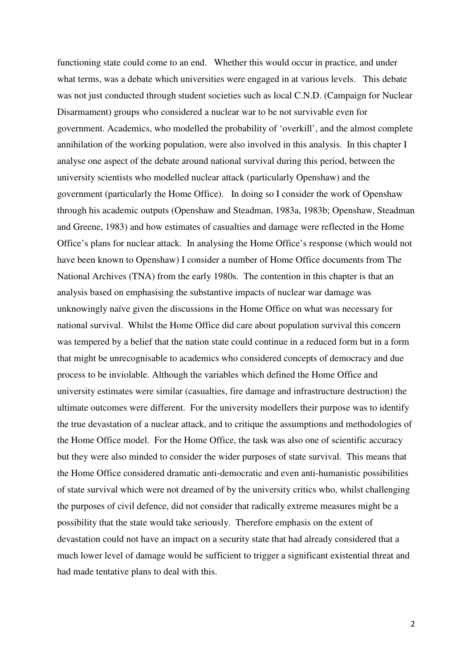functioning state could come to an end. Whether this would occur in practice, and under what terms, was a debate which universities were engaged in at various levels. This debate was not just conducted through student societies such as local C.N.D. (Campaign for Nuclear Disarmament) groups who considered a nuclear war to be not survivable even for government. Academics, who modelled the probability of 'overkill', and the almost complete annihilation of the working population, were also involved in this analysis. In this chapter I analyse one aspect of the debate around national survival during this period, between the university scientists who modelled nuclear attack (particularly Openshaw) and the government (particularly the Home Office). In doing so I consider the work of Openshaw through his academic outputs (Openshaw and Steadman, 1983a, 1983b; Openshaw, Steadman and Greene, 1983) and how estimates of casualties and damage were reflected in the Home Office's plans for nuclear attack. In analysing the Home Office's response (which would not have been known to Openshaw) I consider a number of Home Office documents from The National Archives (TNA) from the early 1980s. The contention in this chapter is that an analysis based on emphasising the substantive impacts of nuclear war damage was unknowingly naïve given the discussions in the Home Office on what was necessary for national survival. Whilst the Home Office did care about population survival this concern was tempered by a belief that the nation state could continue in a reduced form but in a form that might be unrecognisable to academics who considered concepts of democracy and due process to be inviolable. Although the variables which defined the Home Office and university estimates were similar (casualties, fire damage and infrastructure destruction) the ultimate outcomes were different. For the university modellers their purpose was to identify the true devastation of a nuclear attack, and to critique the assumptions and methodologies of the Home Office model. For the Home Office, the task was also one of scientific accuracy but they were also minded to consider the wider purposes of state survival. This means that the Home Office considered dramatic anti-democratic and even anti-humanistic possibilities of state survival which were not dreamed of by the university critics who, whilst challenging the purposes of civil defence, did not consider that radically extreme measures might be a possibility that the state would take seriously. Therefore emphasis on the extent of devastation could not have an impact on a security state that had already considered that a much lower level of damage would be sufficient to trigger a significant existential threat and had made tentative plans to deal with this.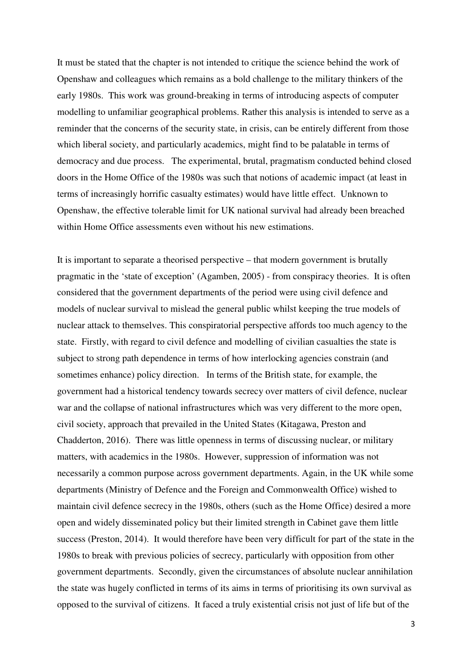It must be stated that the chapter is not intended to critique the science behind the work of Openshaw and colleagues which remains as a bold challenge to the military thinkers of the early 1980s. This work was ground-breaking in terms of introducing aspects of computer modelling to unfamiliar geographical problems. Rather this analysis is intended to serve as a reminder that the concerns of the security state, in crisis, can be entirely different from those which liberal society, and particularly academics, might find to be palatable in terms of democracy and due process. The experimental, brutal, pragmatism conducted behind closed doors in the Home Office of the 1980s was such that notions of academic impact (at least in terms of increasingly horrific casualty estimates) would have little effect. Unknown to Openshaw, the effective tolerable limit for UK national survival had already been breached within Home Office assessments even without his new estimations.

It is important to separate a theorised perspective – that modern government is brutally pragmatic in the 'state of exception' (Agamben, 2005) - from conspiracy theories. It is often considered that the government departments of the period were using civil defence and models of nuclear survival to mislead the general public whilst keeping the true models of nuclear attack to themselves. This conspiratorial perspective affords too much agency to the state. Firstly, with regard to civil defence and modelling of civilian casualties the state is subject to strong path dependence in terms of how interlocking agencies constrain (and sometimes enhance) policy direction. In terms of the British state, for example, the government had a historical tendency towards secrecy over matters of civil defence, nuclear war and the collapse of national infrastructures which was very different to the more open, civil society, approach that prevailed in the United States (Kitagawa, Preston and Chadderton, 2016). There was little openness in terms of discussing nuclear, or military matters, with academics in the 1980s. However, suppression of information was not necessarily a common purpose across government departments. Again, in the UK while some departments (Ministry of Defence and the Foreign and Commonwealth Office) wished to maintain civil defence secrecy in the 1980s, others (such as the Home Office) desired a more open and widely disseminated policy but their limited strength in Cabinet gave them little success (Preston, 2014). It would therefore have been very difficult for part of the state in the 1980s to break with previous policies of secrecy, particularly with opposition from other government departments. Secondly, given the circumstances of absolute nuclear annihilation the state was hugely conflicted in terms of its aims in terms of prioritising its own survival as opposed to the survival of citizens. It faced a truly existential crisis not just of life but of the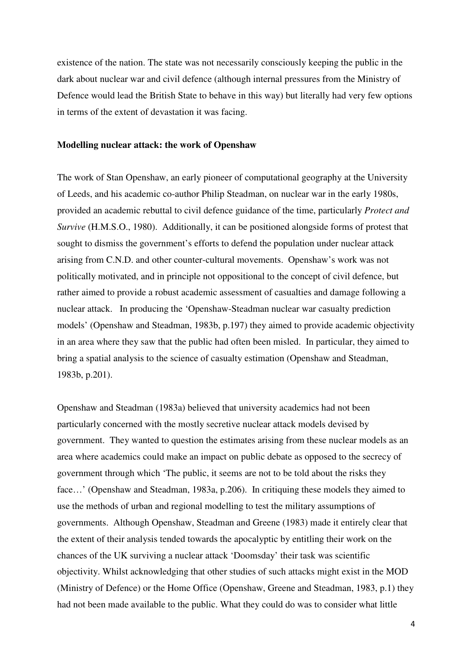existence of the nation. The state was not necessarily consciously keeping the public in the dark about nuclear war and civil defence (although internal pressures from the Ministry of Defence would lead the British State to behave in this way) but literally had very few options in terms of the extent of devastation it was facing.

### **Modelling nuclear attack: the work of Openshaw**

The work of Stan Openshaw, an early pioneer of computational geography at the University of Leeds, and his academic co-author Philip Steadman, on nuclear war in the early 1980s, provided an academic rebuttal to civil defence guidance of the time, particularly *Protect and Survive* (H.M.S.O., 1980). Additionally, it can be positioned alongside forms of protest that sought to dismiss the government's efforts to defend the population under nuclear attack arising from C.N.D. and other counter-cultural movements. Openshaw's work was not politically motivated, and in principle not oppositional to the concept of civil defence, but rather aimed to provide a robust academic assessment of casualties and damage following a nuclear attack. In producing the 'Openshaw-Steadman nuclear war casualty prediction models' (Openshaw and Steadman, 1983b, p.197) they aimed to provide academic objectivity in an area where they saw that the public had often been misled. In particular, they aimed to bring a spatial analysis to the science of casualty estimation (Openshaw and Steadman, 1983b, p.201).

Openshaw and Steadman (1983a) believed that university academics had not been particularly concerned with the mostly secretive nuclear attack models devised by government. They wanted to question the estimates arising from these nuclear models as an area where academics could make an impact on public debate as opposed to the secrecy of government through which 'The public, it seems are not to be told about the risks they face…' (Openshaw and Steadman, 1983a, p.206). In critiquing these models they aimed to use the methods of urban and regional modelling to test the military assumptions of governments. Although Openshaw, Steadman and Greene (1983) made it entirely clear that the extent of their analysis tended towards the apocalyptic by entitling their work on the chances of the UK surviving a nuclear attack 'Doomsday' their task was scientific objectivity. Whilst acknowledging that other studies of such attacks might exist in the MOD (Ministry of Defence) or the Home Office (Openshaw, Greene and Steadman, 1983, p.1) they had not been made available to the public. What they could do was to consider what little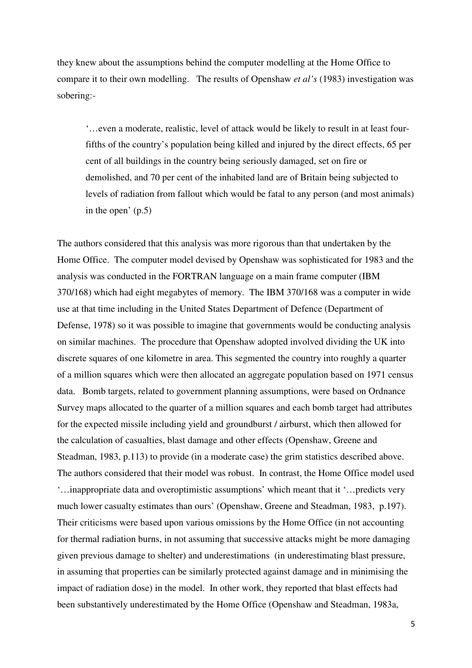they knew about the assumptions behind the computer modelling at the Home Office to compare it to their own modelling. The results of Openshaw *et al's* (1983) investigation was sobering:-

'…even a moderate, realistic, level of attack would be likely to result in at least fourfifths of the country's population being killed and injured by the direct effects, 65 per cent of all buildings in the country being seriously damaged, set on fire or demolished, and 70 per cent of the inhabited land are of Britain being subjected to levels of radiation from fallout which would be fatal to any person (and most animals) in the open' (p.5)

The authors considered that this analysis was more rigorous than that undertaken by the Home Office. The computer model devised by Openshaw was sophisticated for 1983 and the analysis was conducted in the FORTRAN language on a main frame computer (IBM 370/168) which had eight megabytes of memory. The IBM 370/168 was a computer in wide use at that time including in the United States Department of Defence (Department of Defense, 1978) so it was possible to imagine that governments would be conducting analysis on similar machines. The procedure that Openshaw adopted involved dividing the UK into discrete squares of one kilometre in area. This segmented the country into roughly a quarter of a million squares which were then allocated an aggregate population based on 1971 census data. Bomb targets, related to government planning assumptions, were based on Ordnance Survey maps allocated to the quarter of a million squares and each bomb target had attributes for the expected missile including yield and groundburst / airburst, which then allowed for the calculation of casualties, blast damage and other effects (Openshaw, Greene and Steadman, 1983, p.113) to provide (in a moderate case) the grim statistics described above. The authors considered that their model was robust. In contrast, the Home Office model used '…inappropriate data and overoptimistic assumptions' which meant that it '…predicts very much lower casualty estimates than ours' (Openshaw, Greene and Steadman, 1983, p.197). Their criticisms were based upon various omissions by the Home Office (in not accounting for thermal radiation burns, in not assuming that successive attacks might be more damaging given previous damage to shelter) and underestimations (in underestimating blast pressure, in assuming that properties can be similarly protected against damage and in minimising the impact of radiation dose) in the model. In other work, they reported that blast effects had been substantively underestimated by the Home Office (Openshaw and Steadman, 1983a,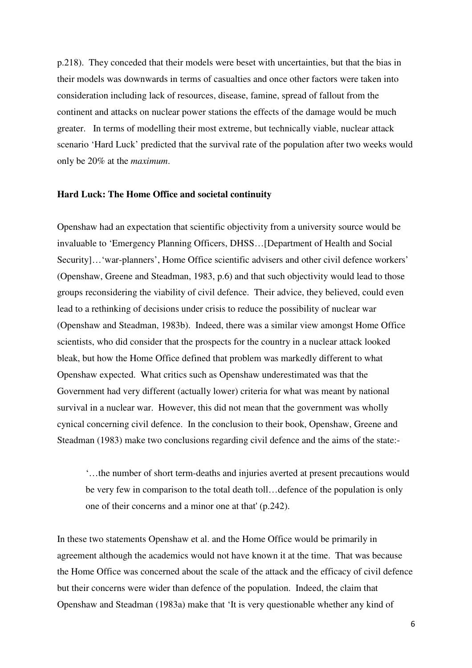p.218). They conceded that their models were beset with uncertainties, but that the bias in their models was downwards in terms of casualties and once other factors were taken into consideration including lack of resources, disease, famine, spread of fallout from the continent and attacks on nuclear power stations the effects of the damage would be much greater. In terms of modelling their most extreme, but technically viable, nuclear attack scenario 'Hard Luck' predicted that the survival rate of the population after two weeks would only be 20% at the *maximum*.

## **Hard Luck: The Home Office and societal continuity**

Openshaw had an expectation that scientific objectivity from a university source would be invaluable to 'Emergency Planning Officers, DHSS…[Department of Health and Social Security]…'war-planners', Home Office scientific advisers and other civil defence workers' (Openshaw, Greene and Steadman, 1983, p.6) and that such objectivity would lead to those groups reconsidering the viability of civil defence. Their advice, they believed, could even lead to a rethinking of decisions under crisis to reduce the possibility of nuclear war (Openshaw and Steadman, 1983b). Indeed, there was a similar view amongst Home Office scientists, who did consider that the prospects for the country in a nuclear attack looked bleak, but how the Home Office defined that problem was markedly different to what Openshaw expected. What critics such as Openshaw underestimated was that the Government had very different (actually lower) criteria for what was meant by national survival in a nuclear war. However, this did not mean that the government was wholly cynical concerning civil defence. In the conclusion to their book, Openshaw, Greene and Steadman (1983) make two conclusions regarding civil defence and the aims of the state:-

'…the number of short term-deaths and injuries averted at present precautions would be very few in comparison to the total death toll…defence of the population is only one of their concerns and a minor one at that' (p.242).

In these two statements Openshaw et al. and the Home Office would be primarily in agreement although the academics would not have known it at the time. That was because the Home Office was concerned about the scale of the attack and the efficacy of civil defence but their concerns were wider than defence of the population. Indeed, the claim that Openshaw and Steadman (1983a) make that 'It is very questionable whether any kind of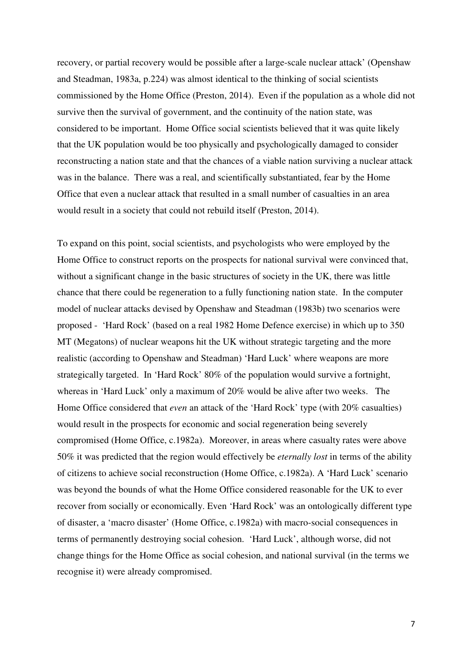recovery, or partial recovery would be possible after a large-scale nuclear attack' (Openshaw and Steadman, 1983a, p.224) was almost identical to the thinking of social scientists commissioned by the Home Office (Preston, 2014). Even if the population as a whole did not survive then the survival of government, and the continuity of the nation state, was considered to be important. Home Office social scientists believed that it was quite likely that the UK population would be too physically and psychologically damaged to consider reconstructing a nation state and that the chances of a viable nation surviving a nuclear attack was in the balance. There was a real, and scientifically substantiated, fear by the Home Office that even a nuclear attack that resulted in a small number of casualties in an area would result in a society that could not rebuild itself (Preston, 2014).

To expand on this point, social scientists, and psychologists who were employed by the Home Office to construct reports on the prospects for national survival were convinced that, without a significant change in the basic structures of society in the UK, there was little chance that there could be regeneration to a fully functioning nation state. In the computer model of nuclear attacks devised by Openshaw and Steadman (1983b) two scenarios were proposed - 'Hard Rock' (based on a real 1982 Home Defence exercise) in which up to 350 MT (Megatons) of nuclear weapons hit the UK without strategic targeting and the more realistic (according to Openshaw and Steadman) 'Hard Luck' where weapons are more strategically targeted. In 'Hard Rock' 80% of the population would survive a fortnight, whereas in 'Hard Luck' only a maximum of 20% would be alive after two weeks. The Home Office considered that *even* an attack of the 'Hard Rock' type (with 20% casualties) would result in the prospects for economic and social regeneration being severely compromised (Home Office, c.1982a). Moreover, in areas where casualty rates were above 50% it was predicted that the region would effectively be *eternally lost* in terms of the ability of citizens to achieve social reconstruction (Home Office, c.1982a). A 'Hard Luck' scenario was beyond the bounds of what the Home Office considered reasonable for the UK to ever recover from socially or economically. Even 'Hard Rock' was an ontologically different type of disaster, a 'macro disaster' (Home Office, c.1982a) with macro-social consequences in terms of permanently destroying social cohesion. 'Hard Luck', although worse, did not change things for the Home Office as social cohesion, and national survival (in the terms we recognise it) were already compromised.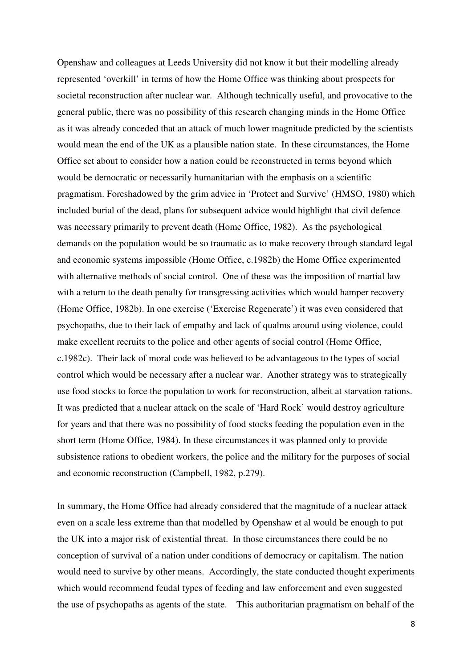Openshaw and colleagues at Leeds University did not know it but their modelling already represented 'overkill' in terms of how the Home Office was thinking about prospects for societal reconstruction after nuclear war. Although technically useful, and provocative to the general public, there was no possibility of this research changing minds in the Home Office as it was already conceded that an attack of much lower magnitude predicted by the scientists would mean the end of the UK as a plausible nation state. In these circumstances, the Home Office set about to consider how a nation could be reconstructed in terms beyond which would be democratic or necessarily humanitarian with the emphasis on a scientific pragmatism. Foreshadowed by the grim advice in 'Protect and Survive' (HMSO, 1980) which included burial of the dead, plans for subsequent advice would highlight that civil defence was necessary primarily to prevent death (Home Office, 1982). As the psychological demands on the population would be so traumatic as to make recovery through standard legal and economic systems impossible (Home Office, c.1982b) the Home Office experimented with alternative methods of social control. One of these was the imposition of martial law with a return to the death penalty for transgressing activities which would hamper recovery (Home Office, 1982b). In one exercise ('Exercise Regenerate') it was even considered that psychopaths, due to their lack of empathy and lack of qualms around using violence, could make excellent recruits to the police and other agents of social control (Home Office, c.1982c). Their lack of moral code was believed to be advantageous to the types of social control which would be necessary after a nuclear war. Another strategy was to strategically use food stocks to force the population to work for reconstruction, albeit at starvation rations. It was predicted that a nuclear attack on the scale of 'Hard Rock' would destroy agriculture for years and that there was no possibility of food stocks feeding the population even in the short term (Home Office, 1984). In these circumstances it was planned only to provide subsistence rations to obedient workers, the police and the military for the purposes of social and economic reconstruction (Campbell, 1982, p.279).

In summary, the Home Office had already considered that the magnitude of a nuclear attack even on a scale less extreme than that modelled by Openshaw et al would be enough to put the UK into a major risk of existential threat. In those circumstances there could be no conception of survival of a nation under conditions of democracy or capitalism. The nation would need to survive by other means. Accordingly, the state conducted thought experiments which would recommend feudal types of feeding and law enforcement and even suggested the use of psychopaths as agents of the state. This authoritarian pragmatism on behalf of the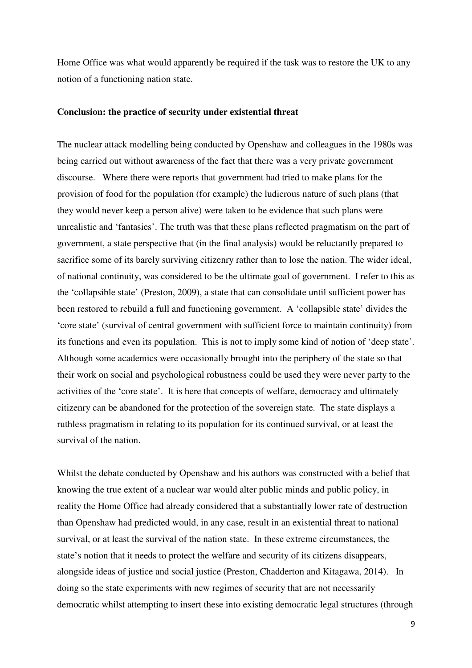Home Office was what would apparently be required if the task was to restore the UK to any notion of a functioning nation state.

#### **Conclusion: the practice of security under existential threat**

The nuclear attack modelling being conducted by Openshaw and colleagues in the 1980s was being carried out without awareness of the fact that there was a very private government discourse. Where there were reports that government had tried to make plans for the provision of food for the population (for example) the ludicrous nature of such plans (that they would never keep a person alive) were taken to be evidence that such plans were unrealistic and 'fantasies'. The truth was that these plans reflected pragmatism on the part of government, a state perspective that (in the final analysis) would be reluctantly prepared to sacrifice some of its barely surviving citizenry rather than to lose the nation. The wider ideal, of national continuity, was considered to be the ultimate goal of government. I refer to this as the 'collapsible state' (Preston, 2009), a state that can consolidate until sufficient power has been restored to rebuild a full and functioning government. A 'collapsible state' divides the 'core state' (survival of central government with sufficient force to maintain continuity) from its functions and even its population. This is not to imply some kind of notion of 'deep state'. Although some academics were occasionally brought into the periphery of the state so that their work on social and psychological robustness could be used they were never party to the activities of the 'core state'. It is here that concepts of welfare, democracy and ultimately citizenry can be abandoned for the protection of the sovereign state. The state displays a ruthless pragmatism in relating to its population for its continued survival, or at least the survival of the nation.

Whilst the debate conducted by Openshaw and his authors was constructed with a belief that knowing the true extent of a nuclear war would alter public minds and public policy, in reality the Home Office had already considered that a substantially lower rate of destruction than Openshaw had predicted would, in any case, result in an existential threat to national survival, or at least the survival of the nation state. In these extreme circumstances, the state's notion that it needs to protect the welfare and security of its citizens disappears, alongside ideas of justice and social justice (Preston, Chadderton and Kitagawa, 2014). In doing so the state experiments with new regimes of security that are not necessarily democratic whilst attempting to insert these into existing democratic legal structures (through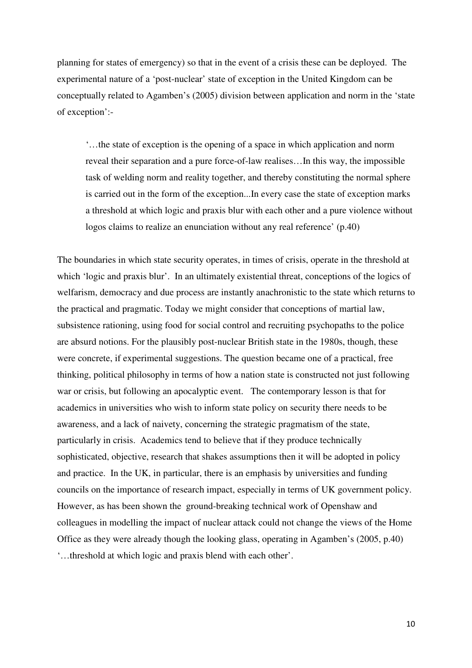planning for states of emergency) so that in the event of a crisis these can be deployed. The experimental nature of a 'post-nuclear' state of exception in the United Kingdom can be conceptually related to Agamben's (2005) division between application and norm in the 'state of exception':-

'…the state of exception is the opening of a space in which application and norm reveal their separation and a pure force-of-law realises…In this way, the impossible task of welding norm and reality together, and thereby constituting the normal sphere is carried out in the form of the exception...In every case the state of exception marks a threshold at which logic and praxis blur with each other and a pure violence without logos claims to realize an enunciation without any real reference' (p.40)

The boundaries in which state security operates, in times of crisis, operate in the threshold at which 'logic and praxis blur'. In an ultimately existential threat, conceptions of the logics of welfarism, democracy and due process are instantly anachronistic to the state which returns to the practical and pragmatic. Today we might consider that conceptions of martial law, subsistence rationing, using food for social control and recruiting psychopaths to the police are absurd notions. For the plausibly post-nuclear British state in the 1980s, though, these were concrete, if experimental suggestions. The question became one of a practical, free thinking, political philosophy in terms of how a nation state is constructed not just following war or crisis, but following an apocalyptic event. The contemporary lesson is that for academics in universities who wish to inform state policy on security there needs to be awareness, and a lack of naivety, concerning the strategic pragmatism of the state, particularly in crisis. Academics tend to believe that if they produce technically sophisticated, objective, research that shakes assumptions then it will be adopted in policy and practice. In the UK, in particular, there is an emphasis by universities and funding councils on the importance of research impact, especially in terms of UK government policy. However, as has been shown the ground-breaking technical work of Openshaw and colleagues in modelling the impact of nuclear attack could not change the views of the Home Office as they were already though the looking glass, operating in Agamben's (2005, p.40) '…threshold at which logic and praxis blend with each other'.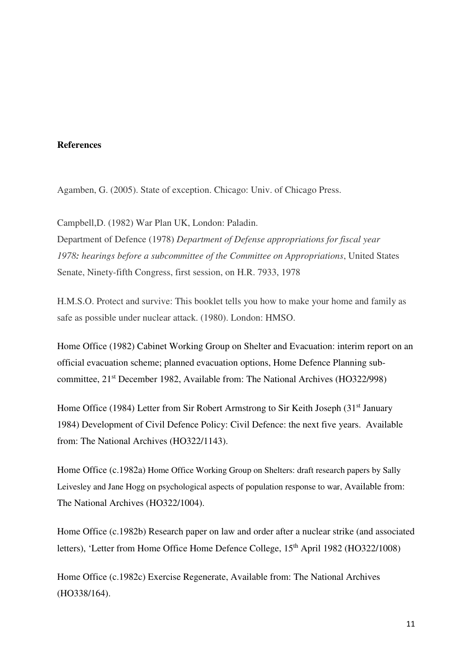# **References**

Agamben, G. (2005). State of exception. Chicago: Univ. of Chicago Press.

Campbell,D. (1982) War Plan UK, London: Paladin. Department of Defence (1978) *Department of Defense appropriations for fiscal year 1978: hearings before a subcommittee of the Committee on Appropriations*, United States Senate, Ninety-fifth Congress, first session, on H.R. 7933, 1978

H.M.S.O. Protect and survive: This booklet tells you how to make your home and family as safe as possible under nuclear attack. (1980). London: HMSO.

Home Office (1982) Cabinet Working Group on Shelter and Evacuation: interim report on an official evacuation scheme; planned evacuation options, Home Defence Planning subcommittee, 21st December 1982, Available from: The National Archives (HO322/998)

Home Office (1984) Letter from Sir Robert Armstrong to Sir Keith Joseph (31<sup>st</sup> January 1984) Development of Civil Defence Policy: Civil Defence: the next five years. Available from: The National Archives (HO322/1143).

Home Office (c.1982a) Home Office Working Group on Shelters: draft research papers by Sally Leivesley and Jane Hogg on psychological aspects of population response to war, Available from: The National Archives (HO322/1004).

Home Office (c.1982b) Research paper on law and order after a nuclear strike (and associated letters), 'Letter from Home Office Home Defence College, 15<sup>th</sup> April 1982 (HO322/1008)

Home Office (c.1982c) Exercise Regenerate, Available from: The National Archives (HO338/164).